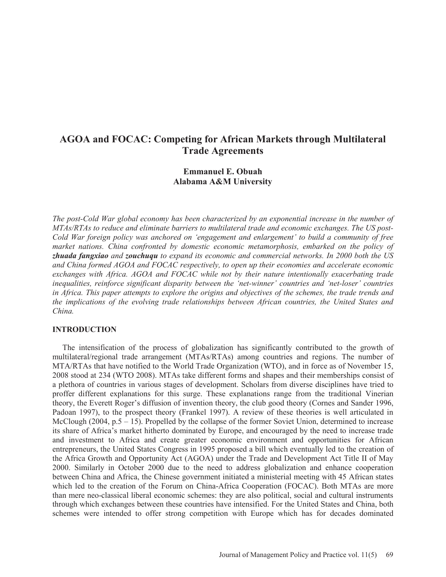# **AGOA and FOCAC: Competing for African Markets through Multilateral Trade Agreements**

# **Emmanuel E. Obuah Alabama A&M University**

*The post-Cold War global economy has been characterized by an exponential increase in the number of MTAs/RTAs to reduce and eliminate barriers to multilateral trade and economic exchanges. The US post-Cold War foreign policy was anchored on 'engagement and enlargement' to build a community of free market nations. China confronted by domestic economic metamorphosis, embarked on the policy of zhuada fangxiao and zouchuqu to expand its economic and commercial networks. In 2000 both the US and China formed AGOA and FOCAC respectively, to open up their economies and accelerate economic exchanges with Africa. AGOA and FOCAC while not by their nature intentionally exacerbating trade inequalities, reinforce significant disparity between the 'net-winner' countries and 'net-loser' countries in Africa. This paper attempts to explore the origins and objectives of the schemes, the trade trends and the implications of the evolving trade relationships between African countries, the United States and China.* 

#### **INTRODUCTION**

 The intensification of the process of globalization has significantly contributed to the growth of multilateral/regional trade arrangement (MTAs/RTAs) among countries and regions. The number of MTA/RTAs that have notified to the World Trade Organization (WTO), and in force as of November 15, 2008 stood at 234 (WTO 2008). MTAs take different forms and shapes and their memberships consist of a plethora of countries in various stages of development. Scholars from diverse disciplines have tried to proffer different explanations for this surge. These explanations range from the traditional Vinerian theory, the Everett Roger's diffusion of invention theory, the club good theory (Cornes and Sander 1996, Padoan 1997), to the prospect theory (Frankel 1997). A review of these theories is well articulated in McClough (2004, p.5 – 15). Propelled by the collapse of the former Soviet Union, determined to increase its share of Africa's market hitherto dominated by Europe, and encouraged by the need to increase trade and investment to Africa and create greater economic environment and opportunities for African entrepreneurs, the United States Congress in 1995 proposed a bill which eventually led to the creation of the Africa Growth and Opportunity Act (AGOA) under the Trade and Development Act Title II of May 2000. Similarly in October 2000 due to the need to address globalization and enhance cooperation between China and Africa, the Chinese government initiated a ministerial meeting with 45 African states which led to the creation of the Forum on China-Africa Cooperation (FOCAC). Both MTAs are more than mere neo-classical liberal economic schemes: they are also political, social and cultural instruments through which exchanges between these countries have intensified. For the United States and China, both schemes were intended to offer strong competition with Europe which has for decades dominated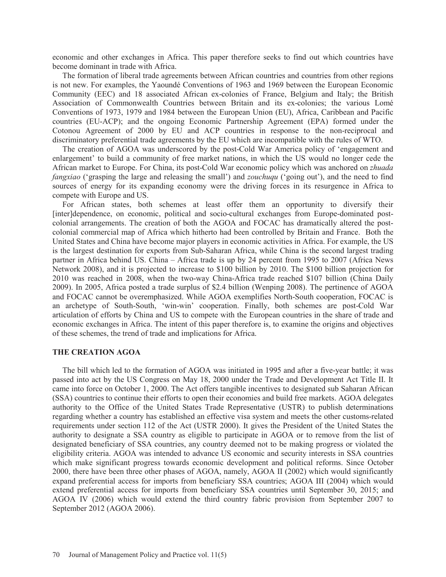economic and other exchanges in Africa. This paper therefore seeks to find out which countries have become dominant in trade with Africa.

 The formation of liberal trade agreements between African countries and countries from other regions is not new. For examples, the Yaoundé Conventions of 1963 and 1969 between the European Economic Community (EEC) and 18 associated African ex-colonies of France, Belgium and Italy; the British Association of Commonwealth Countries between Britain and its ex-colonies; the various Lomé Conventions of 1973, 1979 and 1984 between the European Union (EU), Africa, Caribbean and Pacific countries (EU-ACP); and the ongoing Economic Partnership Agreement (EPA) formed under the Cotonou Agreement of 2000 by EU and ACP countries in response to the non-reciprocal and discriminatory preferential trade agreements by the EU which are incompatible with the rules of WTO.

 The creation of AGOA was underscored by the post-Cold War America policy of 'engagement and enlargement' to build a community of free market nations, in which the US would no longer cede the African market to Europe. For China, its post-Cold War economic policy which was anchored on *zhuada fangxiao* ('grasping the large and releasing the small') and *zouchuqu* ('going out'), and the need to find sources of energy for its expanding economy were the driving forces in its resurgence in Africa to compete with Europe and US.

 For African states, both schemes at least offer them an opportunity to diversify their [inter]dependence, on economic, political and socio-cultural exchanges from Europe-dominated postcolonial arrangements. The creation of both the AGOA and FOCAC has dramatically altered the postcolonial commercial map of Africa which hitherto had been controlled by Britain and France. Both the United States and China have become major players in economic activities in Africa. For example, the US is the largest destination for exports from Sub-Saharan Africa, while China is the second largest trading partner in Africa behind US. China – Africa trade is up by 24 percent from 1995 to 2007 (Africa News Network 2008), and it is projected to increase to \$100 billion by 2010. The \$100 billion projection for 2010 was reached in 2008, when the two-way China-Africa trade reached \$107 billion (China Daily 2009). In 2005, Africa posted a trade surplus of \$2.4 billion (Wenping 2008). The pertinence of AGOA and FOCAC cannot be overemphasized. While AGOA exemplifies North-South cooperation, FOCAC is an archetype of South-South, 'win-win' cooperation. Finally, both schemes are post-Cold War articulation of efforts by China and US to compete with the European countries in the share of trade and economic exchanges in Africa. The intent of this paper therefore is, to examine the origins and objectives of these schemes, the trend of trade and implications for Africa.

#### **THE CREATION AGOA**

 The bill which led to the formation of AGOA was initiated in 1995 and after a five-year battle; it was passed into act by the US Congress on May 18, 2000 under the Trade and Development Act Title II. It came into force on October 1, 2000. The Act offers tangible incentives to designated sub Saharan African (SSA) countries to continue their efforts to open their economies and build free markets. AGOA delegates authority to the Office of the United States Trade Representative (USTR) to publish determinations regarding whether a country has established an effective visa system and meets the other customs-related requirements under section 112 of the Act (USTR 2000). It gives the President of the United States the authority to designate a SSA country as eligible to participate in AGOA or to remove from the list of designated beneficiary of SSA countries, any country deemed not to be making progress or violated the eligibility criteria. AGOA was intended to advance US economic and security interests in SSA countries which make significant progress towards economic development and political reforms. Since October 2000, there have been three other phases of AGOA, namely, AGOA II (2002) which would significantly expand preferential access for imports from beneficiary SSA countries; AGOA III (2004) which would extend preferential access for imports from beneficiary SSA countries until September 30, 2015; and AGOA IV (2006) which would extend the third country fabric provision from September 2007 to September 2012 (AGOA 2006).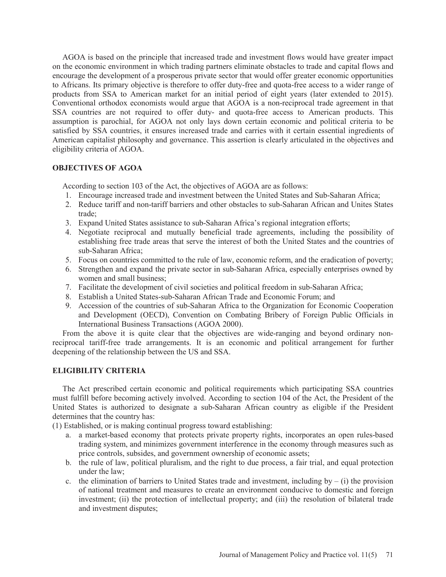AGOA is based on the principle that increased trade and investment flows would have greater impact on the economic environment in which trading partners eliminate obstacles to trade and capital flows and encourage the development of a prosperous private sector that would offer greater economic opportunities to Africans. Its primary objective is therefore to offer duty-free and quota-free access to a wider range of products from SSA to American market for an initial period of eight years (later extended to 2015). Conventional orthodox economists would argue that AGOA is a non-reciprocal trade agreement in that SSA countries are not required to offer duty- and quota-free access to American products. This assumption is parochial, for AGOA not only lays down certain economic and political criteria to be satisfied by SSA countries, it ensures increased trade and carries with it certain essential ingredients of American capitalist philosophy and governance. This assertion is clearly articulated in the objectives and eligibility criteria of AGOA.

# **OBJECTIVES OF AGOA**

According to section 103 of the Act, the objectives of AGOA are as follows:

- 1. Encourage increased trade and investment between the United States and Sub-Saharan Africa;
- 2. Reduce tariff and non-tariff barriers and other obstacles to sub-Saharan African and Unites States trade;
- 3. Expand United States assistance to sub-Saharan Africa's regional integration efforts;
- 4. Negotiate reciprocal and mutually beneficial trade agreements, including the possibility of establishing free trade areas that serve the interest of both the United States and the countries of sub-Saharan Africa;
- 5. Focus on countries committed to the rule of law, economic reform, and the eradication of poverty;
- 6. Strengthen and expand the private sector in sub-Saharan Africa, especially enterprises owned by women and small business;
- 7. Facilitate the development of civil societies and political freedom in sub-Saharan Africa;
- 8. Establish a United States-sub-Saharan African Trade and Economic Forum; and
- 9. Accession of the countries of sub-Saharan Africa to the Organization for Economic Cooperation and Development (OECD), Convention on Combating Bribery of Foreign Public Officials in International Business Transactions (AGOA 2000).

 From the above it is quite clear that the objectives are wide-ranging and beyond ordinary nonreciprocal tariff-free trade arrangements. It is an economic and political arrangement for further deepening of the relationship between the US and SSA.

## **ELIGIBILITY CRITERIA**

 The Act prescribed certain economic and political requirements which participating SSA countries must fulfill before becoming actively involved. According to section 104 of the Act, the President of the United States is authorized to designate a sub-Saharan African country as eligible if the President determines that the country has:

(1) Established, or is making continual progress toward establishing:

- a. a market-based economy that protects private property rights, incorporates an open rules-based trading system, and minimizes government interference in the economy through measures such as price controls, subsides, and government ownership of economic assets;
- b. the rule of law, political pluralism, and the right to due process, a fair trial, and equal protection under the law;
- c. the elimination of barriers to United States trade and investment, including by  $(i)$  the provision of national treatment and measures to create an environment conducive to domestic and foreign investment; (ii) the protection of intellectual property; and (iii) the resolution of bilateral trade and investment disputes;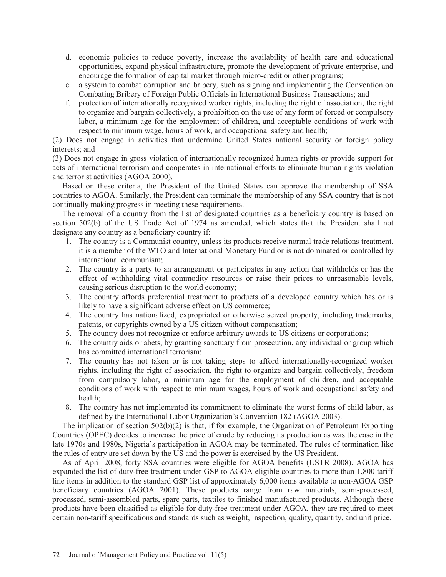- d. economic policies to reduce poverty, increase the availability of health care and educational opportunities, expand physical infrastructure, promote the development of private enterprise, and encourage the formation of capital market through micro-credit or other programs;
- e. a system to combat corruption and bribery, such as signing and implementing the Convention on Combating Bribery of Foreign Public Officials in International Business Transactions; and
- f. protection of internationally recognized worker rights, including the right of association, the right to organize and bargain collectively, a prohibition on the use of any form of forced or compulsory labor, a minimum age for the employment of children, and acceptable conditions of work with respect to minimum wage, hours of work, and occupational safety and health;

(2) Does not engage in activities that undermine United States national security or foreign policy interests; and

(3) Does not engage in gross violation of internationally recognized human rights or provide support for acts of international terrorism and cooperates in international efforts to eliminate human rights violation and terrorist activities (AGOA 2000).

 Based on these criteria, the President of the United States can approve the membership of SSA countries to AGOA. Similarly, the President can terminate the membership of any SSA country that is not continually making progress in meeting these requirements.

 The removal of a country from the list of designated countries as a beneficiary country is based on section 502(b) of the US Trade Act of 1974 as amended, which states that the President shall not designate any country as a beneficiary country if:

- 1. The country is a Communist country, unless its products receive normal trade relations treatment, it is a member of the WTO and International Monetary Fund or is not dominated or controlled by international communism;
- 2. The country is a party to an arrangement or participates in any action that withholds or has the effect of withholding vital commodity resources or raise their prices to unreasonable levels, causing serious disruption to the world economy;
- 3. The country affords preferential treatment to products of a developed country which has or is likely to have a significant adverse effect on US commerce;
- 4. The country has nationalized, expropriated or otherwise seized property, including trademarks, patents, or copyrights owned by a US citizen without compensation;
- 5. The country does not recognize or enforce arbitrary awards to US citizens or corporations;
- 6. The country aids or abets, by granting sanctuary from prosecution, any individual or group which has committed international terrorism;
- 7. The country has not taken or is not taking steps to afford internationally-recognized worker rights, including the right of association, the right to organize and bargain collectively, freedom from compulsory labor, a minimum age for the employment of children, and acceptable conditions of work with respect to minimum wages, hours of work and occupational safety and health;
- 8. The country has not implemented its commitment to eliminate the worst forms of child labor, as defined by the International Labor Organization's Convention 182 (AGOA 2003).

 The implication of section 502(b)(2) is that, if for example, the Organization of Petroleum Exporting Countries (OPEC) decides to increase the price of crude by reducing its production as was the case in the late 1970s and 1980s, Nigeria's participation in AGOA may be terminated. The rules of termination like the rules of entry are set down by the US and the power is exercised by the US President.

 As of April 2008, forty SSA countries were eligible for AGOA benefits (USTR 2008). AGOA has expanded the list of duty-free treatment under GSP to AGOA eligible countries to more than 1,800 tariff line items in addition to the standard GSP list of approximately 6,000 items available to non-AGOA GSP beneficiary countries (AGOA 2001). These products range from raw materials, semi-processed, processed, semi-assembled parts, spare parts, textiles to finished manufactured products. Although these products have been classified as eligible for duty-free treatment under AGOA, they are required to meet certain non-tariff specifications and standards such as weight, inspection, quality, quantity, and unit price.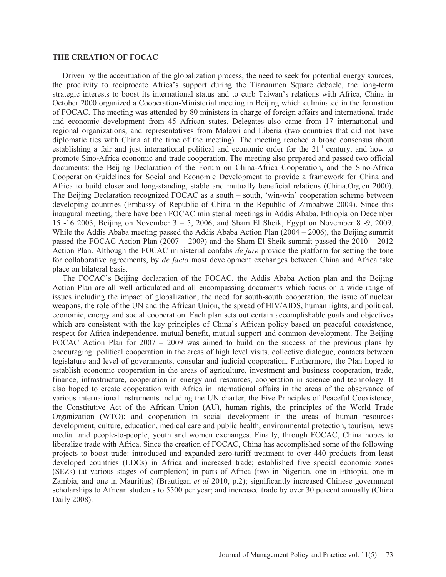#### **THE CREATION OF FOCAC**

 Driven by the accentuation of the globalization process, the need to seek for potential energy sources, the proclivity to reciprocate Africa's support during the Tiananmen Square debacle, the long-term strategic interests to boost its international status and to curb Taiwan's relations with Africa, China in October 2000 organized a Cooperation-Ministerial meeting in Beijing which culminated in the formation of FOCAC. The meeting was attended by 80 ministers in charge of foreign affairs and international trade and economic development from 45 African states. Delegates also came from 17 international and regional organizations, and representatives from Malawi and Liberia (two countries that did not have diplomatic ties with China at the time of the meeting). The meeting reached a broad consensus about establishing a fair and just international political and economic order for the  $21<sup>st</sup>$  century, and how to promote Sino-Africa economic and trade cooperation. The meeting also prepared and passed two official documents: the Beijing Declaration of the Forum on China-Africa Cooperation, and the Sino-Africa Cooperation Guidelines for Social and Economic Development to provide a framework for China and Africa to build closer and long-standing, stable and mutually beneficial relations (China.Org.cn 2000). The Beijing Declaration recognized FOCAC as a south – south, 'win-win' cooperation scheme between developing countries (Embassy of Republic of China in the Republic of Zimbabwe 2004). Since this inaugural meeting, there have been FOCAC ministerial meetings in Addis Ababa, Ethiopia on December 15 -16 2003, Beijing on November 3 – 5, 2006, and Sham El Sheik, Egypt on November 8 -9, 2009. While the Addis Ababa meeting passed the Addis Ababa Action Plan (2004 – 2006), the Beijing summit passed the FOCAC Action Plan  $(2007 - 2009)$  and the Sham El Sheik summit passed the  $2010 - 2012$ Action Plan. Although the FOCAC ministerial confabs *de jure* provide the platform for setting the tone for collaborative agreements, by *de facto* most development exchanges between China and Africa take place on bilateral basis.

 The FOCAC's Beijing declaration of the FOCAC, the Addis Ababa Action plan and the Beijing Action Plan are all well articulated and all encompassing documents which focus on a wide range of issues including the impact of globalization, the need for south-south cooperation, the issue of nuclear weapons, the role of the UN and the African Union, the spread of HIV/AIDS, human rights, and political, economic, energy and social cooperation. Each plan sets out certain accomplishable goals and objectives which are consistent with the key principles of China's African policy based on peaceful coexistence, respect for Africa independence, mutual benefit, mutual support and common development. The Beijing FOCAC Action Plan for 2007 – 2009 was aimed to build on the success of the previous plans by encouraging: political cooperation in the areas of high level visits, collective dialogue, contacts between legislature and level of governments, consular and judicial cooperation. Furthermore, the Plan hoped to establish economic cooperation in the areas of agriculture, investment and business cooperation, trade, finance, infrastructure, cooperation in energy and resources, cooperation in science and technology. It also hoped to create cooperation with Africa in international affairs in the areas of the observance of various international instruments including the UN charter, the Five Principles of Peaceful Coexistence, the Constitutive Act of the African Union (AU), human rights, the principles of the World Trade Organization (WTO); and cooperation in social development in the areas of human resources development, culture, education, medical care and public health, environmental protection, tourism, news media and people-to-people, youth and women exchanges. Finally, through FOCAC, China hopes to liberalize trade with Africa. Since the creation of FOCAC, China has accomplished some of the following projects to boost trade: introduced and expanded zero-tariff treatment to over 440 products from least developed countries (LDCs) in Africa and increased trade; established five special economic zones (SEZs) (at various stages of completion) in parts of Africa (two in Nigerian, one in Ethiopia, one in Zambia, and one in Mauritius) (Brautigan *et al* 2010, p.2); significantly increased Chinese government scholarships to African students to 5500 per year; and increased trade by over 30 percent annually (China Daily 2008).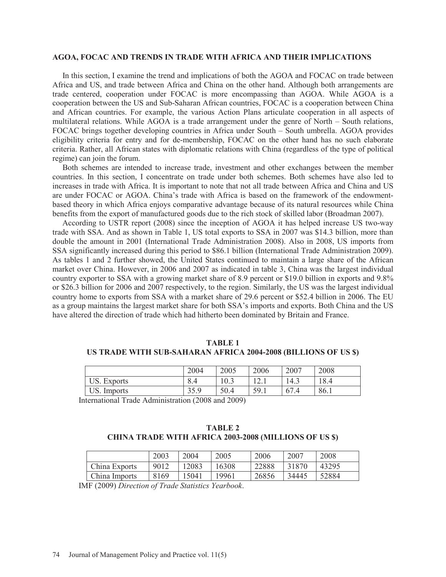#### **AGOA, FOCAC AND TRENDS IN TRADE WITH AFRICA AND THEIR IMPLICATIONS**

 In this section, I examine the trend and implications of both the AGOA and FOCAC on trade between Africa and US, and trade between Africa and China on the other hand. Although both arrangements are trade centered, cooperation under FOCAC is more encompassing than AGOA. While AGOA is a cooperation between the US and Sub-Saharan African countries, FOCAC is a cooperation between China and African countries. For example, the various Action Plans articulate cooperation in all aspects of multilateral relations. While AGOA is a trade arrangement under the genre of North – South relations, FOCAC brings together developing countries in Africa under South – South umbrella. AGOA provides eligibility criteria for entry and for de-membership, FOCAC on the other hand has no such elaborate criteria. Rather, all African states with diplomatic relations with China (regardless of the type of political regime) can join the forum.

 Both schemes are intended to increase trade, investment and other exchanges between the member countries. In this section, I concentrate on trade under both schemes. Both schemes have also led to increases in trade with Africa. It is important to note that not all trade between Africa and China and US are under FOCAC or AGOA. China's trade with Africa is based on the framework of the endowmentbased theory in which Africa enjoys comparative advantage because of its natural resources while China benefits from the export of manufactured goods due to the rich stock of skilled labor (Broadman 2007).

 According to USTR report (2008) since the inception of AGOA it has helped increase US two-way trade with SSA. And as shown in Table 1, US total exports to SSA in 2007 was \$14.3 billion, more than double the amount in 2001 (International Trade Administration 2008). Also in 2008, US imports from SSA significantly increased during this period to \$86.1 billion (International Trade Administration 2009). As tables 1 and 2 further showed, the United States continued to maintain a large share of the African market over China. However, in 2006 and 2007 as indicated in table 3, China was the largest individual country exporter to SSA with a growing market share of 8.9 percent or \$19.0 billion in exports and 9.8% or \$26.3 billion for 2006 and 2007 respectively, to the region. Similarly, the US was the largest individual country home to exports from SSA with a market share of 29.6 percent or \$52.4 billion in 2006. The EU as a group maintains the largest market share for both SSA's imports and exports. Both China and the US have altered the direction of trade which had hitherto been dominated by Britain and France.

#### **TABLE 1 US TRADE WITH SUB-SAHARAN AFRICA 2004-2008 (BILLIONS OF US \$)**

|                       | 2004           | 2005 | 2006                                 | 2007 | 2008 |
|-----------------------|----------------|------|--------------------------------------|------|------|
| US.<br><b>Exports</b> | $\circ$<br>8.4 | 0.3  | $1^{\wedge}$<br>$1 \overline{2}$ . 1 | 14.3 | 18.4 |
| US.<br>Imports        | 35.9           | 50.4 | 59.1                                 | 67.4 | 86.1 |

International Trade Administration (2008 and 2009)

## **TABLE 2 CHINA TRADE WITH AFRICA 2003-2008 (MILLIONS OF US \$)**

|               | 2003 | 2004  | 2005  | 2006  | 2007  | 2008  |
|---------------|------|-------|-------|-------|-------|-------|
| China Exports | 9012 | 12083 | 16308 | 22888 | 31870 | 43295 |
| China Imports | 8169 | '5041 | 19961 | 26856 | 34445 | 52884 |

IMF (2009) *Direction of Trade Statistics Yearbook*.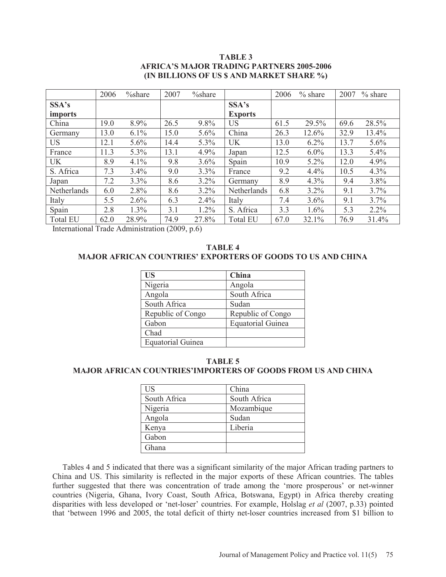## **TABLE 3 AFRICA'S MAJOR TRADING PARTNERS 2005-2006 (IN BILLIONS OF US \$ AND MARKET SHARE %)**

|                 | 2006 | $\%$ share | 2007 | $\%$ share |                 | 2006 | $%$ share | 2007 | $%$ share |
|-----------------|------|------------|------|------------|-----------------|------|-----------|------|-----------|
| SSA's           |      |            |      |            | SSA's           |      |           |      |           |
| <i>imports</i>  |      |            |      |            | <b>Exports</b>  |      |           |      |           |
| China           | 19.0 | 8.9%       | 26.5 | 9.8%       | US              | 61.5 | 29.5%     | 69.6 | 28.5%     |
| Germany         | 13.0 | 6.1%       | 15.0 | 5.6%       | China           | 26.3 | 12.6%     | 32.9 | 13.4%     |
| <b>US</b>       | 12.1 | 5.6%       | 14.4 | 5.3%       | UK              | 13.0 | 6.2%      | 13.7 | 5.6%      |
| France          | 11.3 | 5.3%       | 13.1 | 4.9%       | Japan           | 12.5 | $6.0\%$   | 13.3 | 5.4%      |
| <b>UK</b>       | 8.9  | 4.1%       | 9.8  | 3.6%       | Spain           | 10.9 | $5.2\%$   | 12.0 | 4.9%      |
| S. Africa       | 7.3  | 3.4%       | 9.0  | 3.3%       | France          | 9.2  | 4.4%      | 10.5 | 4.3%      |
| Japan           | 7.2  | 3.3%       | 8.6  | $3.2\%$    | Germany         | 8.9  | 4.3%      | 9.4  | 3.8%      |
| Netherlands     | 6.0  | 2.8%       | 8.6  | $3.2\%$    | Netherlands     | 6.8  | 3.2%      | 9.1  | 3.7%      |
| Italy           | 5.5  | 2.6%       | 6.3  | $2.4\%$    | Italy           | 7.4  | 3.6%      | 9.1  | 3.7%      |
| Spain           | 2.8  | 1.3%       | 3.1  | 1.2%       | S. Africa       | 3.3  | 1.6%      | 5.3  | $2.2\%$   |
| <b>Total EU</b> | 62.0 | 28.9%      | 74.9 | 27.8%      | <b>Total EU</b> | 67.0 | 32.1%     | 76.9 | 31.4%     |

International Trade Administration (2009, p.6)

## **TABLE 4 MAJOR AFRICAN COUNTRIES' EXPORTERS OF GOODS TO US AND CHINA**

| <b>US</b>                | China                    |
|--------------------------|--------------------------|
| Nigeria                  | Angola                   |
| Angola                   | South Africa             |
| South Africa             | Sudan                    |
| Republic of Congo        | Republic of Congo        |
| Gabon                    | <b>Equatorial Guinea</b> |
| Chad                     |                          |
| <b>Equatorial Guinea</b> |                          |

## **TABLE 5 MAJOR AFRICAN COUNTRIES'IMPORTERS OF GOODS FROM US AND CHINA**

| <b>US</b>    | China        |
|--------------|--------------|
| South Africa | South Africa |
| Nigeria      | Mozambique   |
| Angola       | Sudan        |
| Kenya        | Liberia      |
| Gabon        |              |
| Ghana        |              |

 Tables 4 and 5 indicated that there was a significant similarity of the major African trading partners to China and US. This similarity is reflected in the major exports of these African countries. The tables further suggested that there was concentration of trade among the 'more prosperous' or net-winner countries (Nigeria, Ghana, Ivory Coast, South Africa, Botswana, Egypt) in Africa thereby creating disparities with less developed or 'net-loser' countries. For example, Holslag *et al* (2007, p.33) pointed that 'between 1996 and 2005, the total deficit of thirty net-loser countries increased from \$1 billion to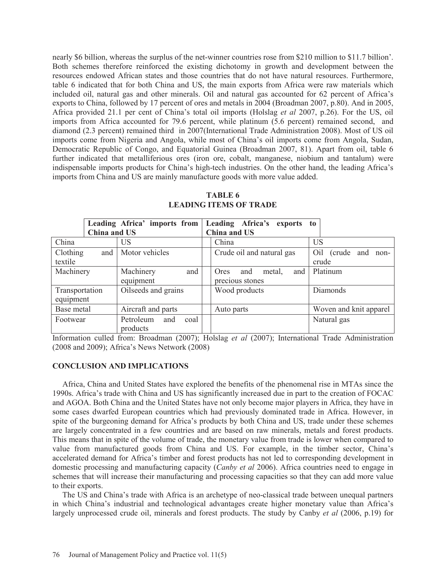nearly \$6 billion, whereas the surplus of the net-winner countries rose from \$210 million to \$11.7 billion'. Both schemes therefore reinforced the existing dichotomy in growth and development between the resources endowed African states and those countries that do not have natural resources. Furthermore, table 6 indicated that for both China and US, the main exports from Africa were raw materials which included oil, natural gas and other minerals. Oil and natural gas accounted for 62 percent of Africa's exports to China, followed by 17 percent of ores and metals in 2004 (Broadman 2007, p.80). And in 2005, Africa provided 21.1 per cent of China's total oil imports (Holslag *et al* 2007, p.26). For the US, oil imports from Africa accounted for 79.6 percent, while platinum (5.6 percent) remained second, and diamond (2.3 percent) remained third in 2007(International Trade Administration 2008). Most of US oil imports come from Nigeria and Angola, while most of China's oil imports come from Angola, Sudan, Democratic Republic of Congo, and Equatorial Guinea (Broadman 2007, 81). Apart from oil, table 6 further indicated that metalliferious ores (iron ore, cobalt, manganese, niobium and tantalum) were indispensable imports products for China's high-tech industries. On the other hand, the leading Africa's imports from China and US are mainly manufacture goods with more value added.

|                |                          |  | Leading Africa' imports from Leading Africa's exports to |                        |
|----------------|--------------------------|--|----------------------------------------------------------|------------------------|
| China and US   |                          |  | China and US                                             |                        |
| China          | US                       |  | China                                                    | <b>US</b>              |
| Clothing       | Motor vehicles<br>and    |  | Crude oil and natural gas                                | Oil (crude and<br>non- |
| textile        |                          |  |                                                          | crude                  |
| Machinery      | Machinery<br>and         |  | Ores<br>metal,<br>and<br>and                             | Platinum               |
|                | equipment                |  | precious stones                                          |                        |
| Transportation | Oilseeds and grains      |  | Wood products                                            | Diamonds               |
| equipment      |                          |  |                                                          |                        |
| Base metal     | Aircraft and parts       |  | Auto parts                                               | Woven and knit apparel |
| Footwear       | Petroleum<br>coal<br>and |  |                                                          | Natural gas            |
|                | products                 |  |                                                          |                        |

#### **TABLE 6 LEADING ITEMS OF TRADE**

Information culled from: Broadman (2007); Holslag *et al* (2007); International Trade Administration (2008 and 2009); Africa's News Network (2008)

## **CONCLUSION AND IMPLICATIONS**

 Africa, China and United States have explored the benefits of the phenomenal rise in MTAs since the 1990s. Africa's trade with China and US has significantly increased due in part to the creation of FOCAC and AGOA. Both China and the United States have not only become major players in Africa, they have in some cases dwarfed European countries which had previously dominated trade in Africa. However, in spite of the burgeoning demand for Africa's products by both China and US, trade under these schemes are largely concentrated in a few countries and are based on raw minerals, metals and forest products. This means that in spite of the volume of trade, the monetary value from trade is lower when compared to value from manufactured goods from China and US. For example, in the timber sector, China's accelerated demand for Africa's timber and forest products has not led to corresponding development in domestic processing and manufacturing capacity (*Canby et al* 2006). Africa countries need to engage in schemes that will increase their manufacturing and processing capacities so that they can add more value to their exports.

 The US and China's trade with Africa is an archetype of neo-classical trade between unequal partners in which China's industrial and technological advantages create higher monetary value than Africa's largely unprocessed crude oil, minerals and forest products. The study by Canby *et al* (2006, p.19) for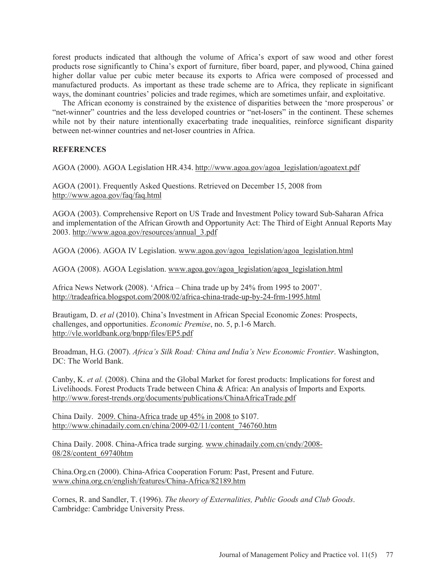forest products indicated that although the volume of Africa's export of saw wood and other forest products rose significantly to China's export of furniture, fiber board, paper, and plywood, China gained higher dollar value per cubic meter because its exports to Africa were composed of processed and manufactured products. As important as these trade scheme are to Africa, they replicate in significant ways, the dominant countries' policies and trade regimes, which are sometimes unfair, and exploitative.

 The African economy is constrained by the existence of disparities between the 'more prosperous' or "net-winner" countries and the less developed countries or "net-losers" in the continent. These schemes while not by their nature intentionally exacerbating trade inequalities, reinforce significant disparity between net-winner countries and net-loser countries in Africa.

## **REFERENCES**

AGOA (2000). AGOA Legislation HR.434. http://www.agoa.gov/agoa\_legislation/agoatext.pdf

AGOA (2001). Frequently Asked Questions. Retrieved on December 15, 2008 from http://www.agoa.gov/faq/faq.html

AGOA (2003). Comprehensive Report on US Trade and Investment Policy toward Sub-Saharan Africa and implementation of the African Growth and Opportunity Act: The Third of Eight Annual Reports May 2003. http://www.agoa.gov/resources/annual\_3.pdf

AGOA (2006). AGOA IV Legislation. www.agoa.gov/agoa\_legislation/agoa\_legislation.html

AGOA (2008). AGOA Legislation. www.agoa.gov/agoa\_legislation/agoa\_legislation.html

Africa News Network (2008). 'Africa – China trade up by 24% from 1995 to 2007'. http://tradeafrica.blogspot.com/2008/02/africa-china-trade-up-by-24-frm-1995.html

Brautigam, D. *et al* (2010). China's Investment in African Special Economic Zones: Prospects, challenges, and opportunities. *Economic Premise*, no. 5, p.1-6 March. http://vle.worldbank.org/bnpp/files/EP5.pdf

Broadman, H.G. (2007). *Africa's Silk Road: China and India's New Economic Frontier*. Washington, DC: The World Bank.

Canby, K. *et al.* (2008). China and the Global Market for forest products: Implications for forest and Livelihoods. Forest Products Trade between China & Africa: An analysis of Imports and Exports*.* http://www.forest-trends.org/documents/publications/ChinaAfricaTrade.pdf

China Daily. 2009. China-Africa trade up 45% in 2008 to \$107. http://www.chinadaily.com.cn/china/2009-02/11/content\_746760.htm

China Daily. 2008. China-Africa trade surging. www.chinadaily.com.cn/cndy/2008- 08/28/content\_69740htm

China.Org.cn (2000). China-Africa Cooperation Forum: Past, Present and Future. www.china.org.cn/english/features/China-Africa/82189.htm

Cornes, R. and Sandler, T. (1996). *The theory of Externalities, Public Goods and Club Goods*. Cambridge: Cambridge University Press.